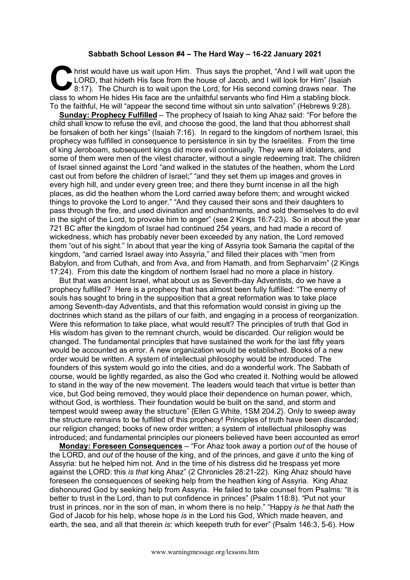## **Sabbath School Lesson #4 – The Hard Way – 16-22 January 2021**

hrist would have us wait upon Him. Thus says the prophet, "And I will wait upon the LORD, that hideth His face from the house of Jacob, and I will look for Him" (Isaiah 8:17). The Church is to wait upon the Lord, for His second coming draws near. The class to whom He hides His face are the unfaithful servants who find Him a stabling block. To the faithful, He will "appear the second time without sin unto salvation" (Hebrews 9:28).  $\mathbf{C}$   $\mathbf{L}^{\text{C}}$ 

**Sunday: Prophecy Fulfilled** – The prophecy of Isaiah to king Ahaz said: "For before the child shall know to refuse the evil, and choose the good, the land that thou abhorrest shall be forsaken of both her kings" (Isaiah 7:16). In regard to the kingdom of northern Israel, this prophecy was fulfilled in consequence to persistence in sin by the Israelites. From the time of king Jeroboam, subsequent kings did more evil continually. They were all idolaters, and some of them were men of the vilest character, without a single redeeming trait. The children of Israel sinned against the Lord "and walked in the statutes of the heathen, whom the Lord cast out from before the children of Israel;" "and they set them up images and groves in every high hill, and under every green tree; and there they burnt incense in all the high places, as did the heathen whom the Lord carried away before them; and wrought wicked things to provoke the Lord to anger." "And they caused their sons and their daughters to pass through the fire, and used divination and enchantments, and sold themselves to do evil in the sight of the Lord, to provoke him to anger" (see 2 Kings 16:7-23). So in about the year 721 BC after the kingdom of Israel had continued 254 years, and had made a record of wickedness, which has probably never been exceeded by any nation, the Lord removed them "out of his sight." In about that year the king of Assyria took Samaria the capital of the kingdom, "and carried Israel away into Assyria," and filled their places with "men from Babylon, and from Cuthah, and from Ava, and from Hamath, and from Sepharvaim" (2 Kings 17:24). From this date the kingdom of northern Israel had no more a place in history.

But that was ancient Israel, what about us as Seventh-day Adventists, do we have a prophecy fulfilled? Here is a prophecy that has almost been fully fulfilled: "The enemy of souls has sought to bring in the supposition that a great reformation was to take place among Seventh-day Adventists, and that this reformation would consist in giving up the doctrines which stand as the pillars of our faith, and engaging in a process of reorganization. Were this reformation to take place, what would result? The principles of truth that God in His wisdom has given to the remnant church, would be discarded. Our religion would be changed. The fundamental principles that have sustained the work for the last fifty years would be accounted as error. A new organization would be established. Books of a new order would be written. A system of intellectual philosophy would be introduced. The founders of this system would go into the cities, and do a wonderful work. The Sabbath of course, would be lightly regarded, as also the God who created it. Nothing would be allowed to stand in the way of the new movement. The leaders would teach that virtue is better than vice, but God being removed, they would place their dependence on human power, which, without God, is worthless. Their foundation would be built on the sand, and storm and tempest would sweep away the structure" {Ellen G White, 1SM 204.2}. Only to sweep away the structure remains to be fulfilled of this prophecy! Principles of truth have been discarded; our religion changed; books of new order written; a system of intellectual philosophy was introduced; and fundamental principles our pioneers believed have been accounted as error!

**Monday: Foreseen Consequences** – "For Ahaz took away a portion *out* of the house of the LORD, and *out* of the house of the king, and of the princes, and gave *it* unto the king of Assyria: but he helped him not. And in the time of his distress did he trespass yet more against the LORD: this *is that* king Ahaz" (2 Chronicles 28:21-22). King Ahaz should have foreseen the consequences of seeking help from the heathen king of Assyria. King Ahaz dishonoured God by seeking help from Assyria. He failed to take counsel from Psalms: "It is better to trust in the Lord, than to put confidence in princes" (Psalm 118:8). "Put not your trust in princes, nor in the son of man, in whom there is no help." "Happy *is he* that *hath* the God of Jacob for his help, whose hope *is* in the Lord his God, Which made heaven, and earth, the sea, and all that therein *is*: which keepeth truth for ever" (Psalm 146:3, 5-6). How